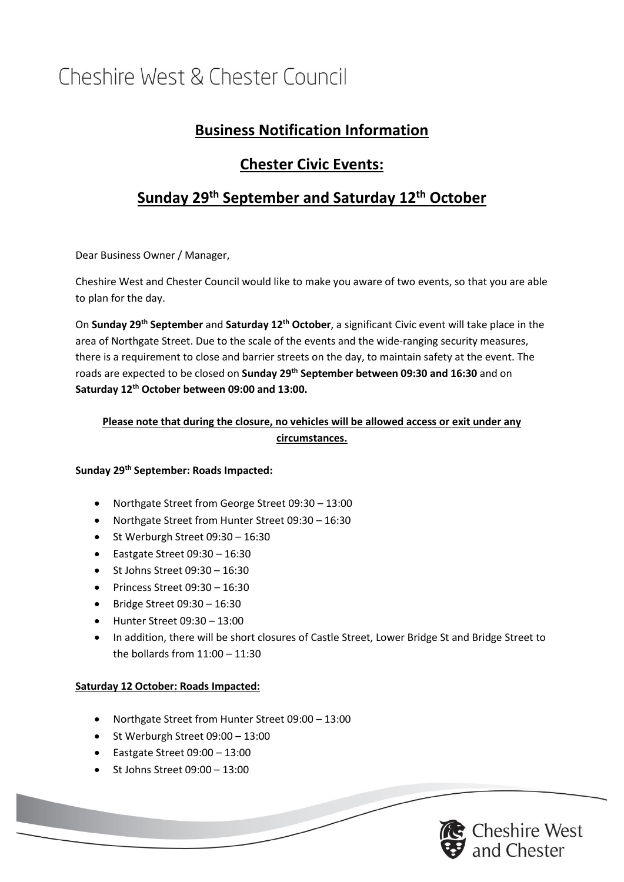## Cheshire West & Chester Council

## **Business Notification Information**

## **Chester Civic Events:**

### **Sunday 29th September and Saturday 12th October**

Dear Business Owner / Manager,

Cheshire West and Chester Council would like to make you aware of two events, so that you are able to plan for the day.

On **Sunday 29th September** and **Saturday 12th October**, a significant Civic event will take place in the area of Northgate Street. Due to the scale of the events and the wide-ranging security measures, there is a requirement to close and barrier streets on the day, to maintain safety at the event. The roads are expected to be closed on **Sunday 29th September between 09:30 and 16:30** and on **Saturday 12th October between 09:00 and 13:00.**

### **Please note that during the closure, no vehicles will be allowed access or exit under any circumstances.**

#### **Sunday 29th September: Roads Impacted:**

- Northgate Street from George Street 09:30 13:00
- Northgate Street from Hunter Street 09:30 16:30
- St Werburgh Street 09:30 16:30
- Eastgate Street 09:30 16:30
- St Johns Street 09:30 16:30
- Princess Street 09:30 16:30
- Bridge Street  $09:30 16:30$
- Hunter Street 09:30 13:00
- In addition, there will be short closures of Castle Street, Lower Bridge St and Bridge Street to the bollards from  $11:00 - 11:30$

#### **Saturday 12 October: Roads Impacted:**

- Northgate Street from Hunter Street 09:00 13:00
- St Werburgh Street 09:00 13:00
- Eastgate Street 09:00 13:00
- St Johns Street 09:00 13:00